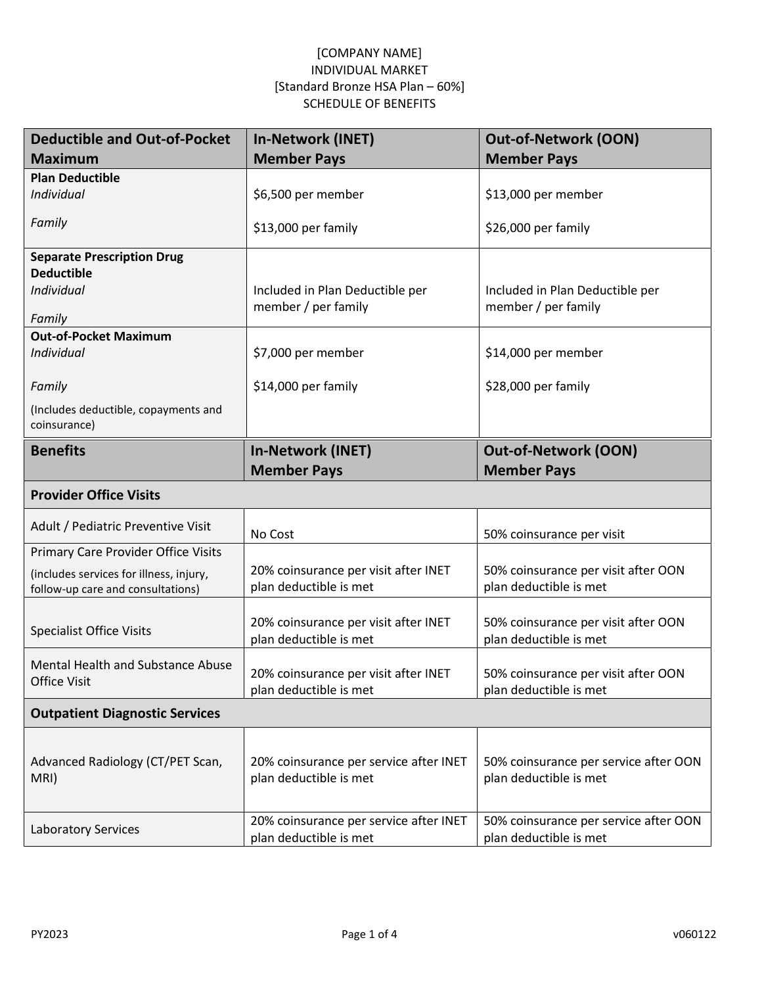| <b>Deductible and Out-of-Pocket</b>                                          | <b>In-Network (INET)</b>                                       | <b>Out-of-Network (OON)</b>                                   |
|------------------------------------------------------------------------------|----------------------------------------------------------------|---------------------------------------------------------------|
| <b>Maximum</b>                                                               | <b>Member Pays</b>                                             | <b>Member Pays</b>                                            |
| <b>Plan Deductible</b>                                                       |                                                                |                                                               |
| Individual                                                                   | \$6,500 per member                                             | \$13,000 per member                                           |
| Family                                                                       | \$13,000 per family                                            | \$26,000 per family                                           |
| <b>Separate Prescription Drug</b>                                            |                                                                |                                                               |
| <b>Deductible</b>                                                            |                                                                |                                                               |
| Individual                                                                   | Included in Plan Deductible per<br>member / per family         | Included in Plan Deductible per<br>member / per family        |
| Family                                                                       |                                                                |                                                               |
| <b>Out-of-Pocket Maximum</b>                                                 |                                                                |                                                               |
| Individual                                                                   | \$7,000 per member                                             | \$14,000 per member                                           |
| Family                                                                       | \$14,000 per family                                            | \$28,000 per family                                           |
| (Includes deductible, copayments and                                         |                                                                |                                                               |
| coinsurance)                                                                 |                                                                |                                                               |
| <b>Benefits</b>                                                              | <b>In-Network (INET)</b>                                       | <b>Out-of-Network (OON)</b>                                   |
|                                                                              | <b>Member Pays</b>                                             | <b>Member Pays</b>                                            |
| <b>Provider Office Visits</b>                                                |                                                                |                                                               |
| Adult / Pediatric Preventive Visit                                           | No Cost                                                        | 50% coinsurance per visit                                     |
| Primary Care Provider Office Visits                                          |                                                                |                                                               |
| (includes services for illness, injury,<br>follow-up care and consultations) | 20% coinsurance per visit after INET<br>plan deductible is met | 50% coinsurance per visit after OON<br>plan deductible is met |
|                                                                              |                                                                |                                                               |
| <b>Specialist Office Visits</b>                                              | 20% coinsurance per visit after INET                           | 50% coinsurance per visit after OON                           |
|                                                                              | plan deductible is met                                         | plan deductible is met                                        |
| <b>Mental Health and Substance Abuse</b>                                     | 20% coinsurance per visit after INET                           | 50% coinsurance per visit after OON                           |
| <b>Office Visit</b>                                                          | plan deductible is met                                         | plan deductible is met                                        |
| <b>Outpatient Diagnostic Services</b>                                        |                                                                |                                                               |
|                                                                              |                                                                |                                                               |
| Advanced Radiology (CT/PET Scan,                                             | 20% coinsurance per service after INET                         | 50% coinsurance per service after OON                         |
| MRI)                                                                         | plan deductible is met                                         | plan deductible is met                                        |
|                                                                              |                                                                |                                                               |
| <b>Laboratory Services</b>                                                   | 20% coinsurance per service after INET                         | 50% coinsurance per service after OON                         |
|                                                                              | plan deductible is met                                         | plan deductible is met                                        |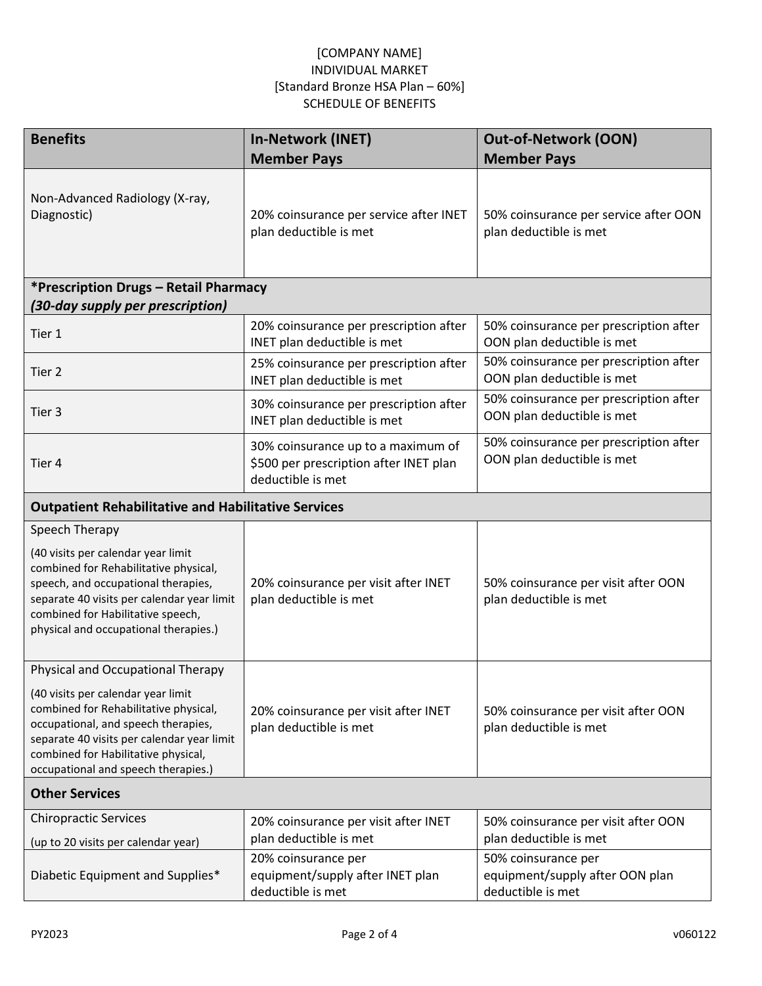| <b>Benefits</b>                                                                                                                                                                                                                                                                     | <b>In-Network (INET)</b>                                                                          | <b>Out-of-Network (OON)</b>                                                 |  |  |
|-------------------------------------------------------------------------------------------------------------------------------------------------------------------------------------------------------------------------------------------------------------------------------------|---------------------------------------------------------------------------------------------------|-----------------------------------------------------------------------------|--|--|
|                                                                                                                                                                                                                                                                                     | <b>Member Pays</b>                                                                                | <b>Member Pays</b>                                                          |  |  |
| Non-Advanced Radiology (X-ray,<br>Diagnostic)                                                                                                                                                                                                                                       | 20% coinsurance per service after INET<br>plan deductible is met                                  | 50% coinsurance per service after OON<br>plan deductible is met             |  |  |
| *Prescription Drugs - Retail Pharmacy                                                                                                                                                                                                                                               |                                                                                                   |                                                                             |  |  |
| (30-day supply per prescription)                                                                                                                                                                                                                                                    |                                                                                                   |                                                                             |  |  |
| Tier 1                                                                                                                                                                                                                                                                              | 20% coinsurance per prescription after<br>INET plan deductible is met                             | 50% coinsurance per prescription after<br>OON plan deductible is met        |  |  |
| Tier 2                                                                                                                                                                                                                                                                              | 25% coinsurance per prescription after<br>INET plan deductible is met                             | 50% coinsurance per prescription after<br>OON plan deductible is met        |  |  |
| Tier 3                                                                                                                                                                                                                                                                              | 30% coinsurance per prescription after<br>INET plan deductible is met                             | 50% coinsurance per prescription after<br>OON plan deductible is met        |  |  |
| Tier 4                                                                                                                                                                                                                                                                              | 30% coinsurance up to a maximum of<br>\$500 per prescription after INET plan<br>deductible is met | 50% coinsurance per prescription after<br>OON plan deductible is met        |  |  |
| <b>Outpatient Rehabilitative and Habilitative Services</b>                                                                                                                                                                                                                          |                                                                                                   |                                                                             |  |  |
| Speech Therapy                                                                                                                                                                                                                                                                      |                                                                                                   |                                                                             |  |  |
| (40 visits per calendar year limit<br>combined for Rehabilitative physical,<br>speech, and occupational therapies,<br>separate 40 visits per calendar year limit<br>combined for Habilitative speech,<br>physical and occupational therapies.)                                      | 20% coinsurance per visit after INET<br>plan deductible is met                                    | 50% coinsurance per visit after OON<br>plan deductible is met               |  |  |
| Physical and Occupational Therapy<br>(40 visits per calendar year limit<br>combined for Rehabilitative physical,<br>occupational, and speech therapies,<br>separate 40 visits per calendar year limit<br>combined for Habilitative physical,<br>occupational and speech therapies.) | 20% coinsurance per visit after INET<br>plan deductible is met                                    | 50% coinsurance per visit after OON<br>plan deductible is met               |  |  |
| <b>Other Services</b>                                                                                                                                                                                                                                                               |                                                                                                   |                                                                             |  |  |
| <b>Chiropractic Services</b>                                                                                                                                                                                                                                                        | 20% coinsurance per visit after INET                                                              | 50% coinsurance per visit after OON                                         |  |  |
| (up to 20 visits per calendar year)                                                                                                                                                                                                                                                 | plan deductible is met                                                                            | plan deductible is met                                                      |  |  |
| Diabetic Equipment and Supplies*                                                                                                                                                                                                                                                    | 20% coinsurance per<br>equipment/supply after INET plan<br>deductible is met                      | 50% coinsurance per<br>equipment/supply after OON plan<br>deductible is met |  |  |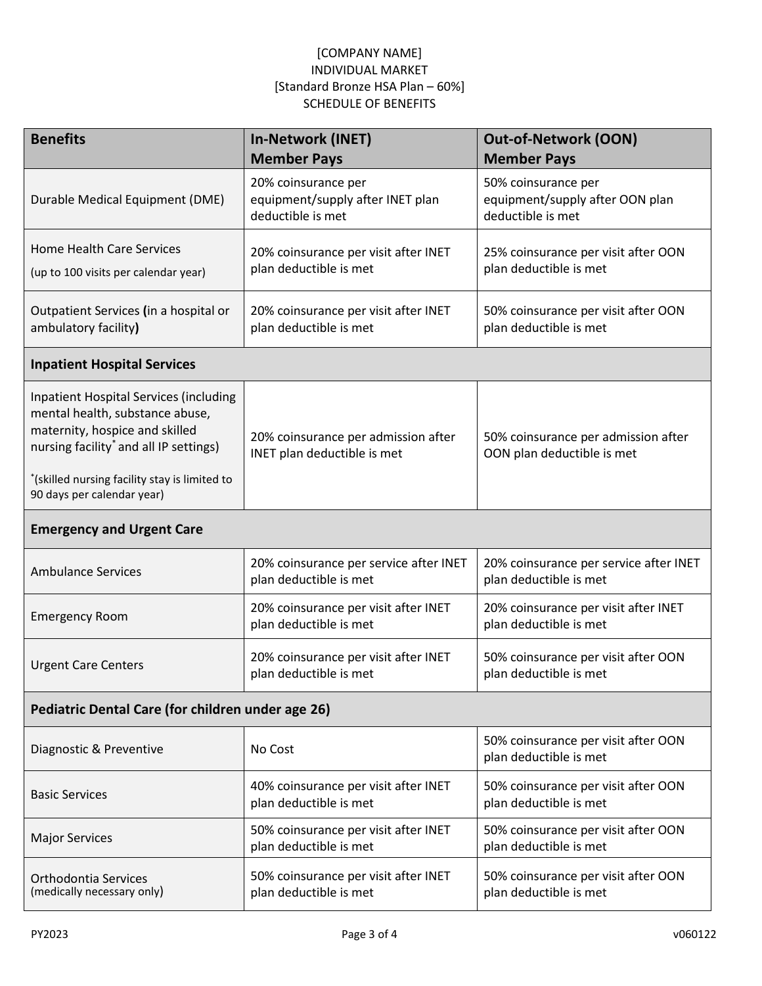| <b>Benefits</b>                                                                                                                                                                                                                                         | <b>In-Network (INET)</b><br><b>Member Pays</b>                               | <b>Out-of-Network (OON)</b><br><b>Member Pays</b>                           |  |  |
|---------------------------------------------------------------------------------------------------------------------------------------------------------------------------------------------------------------------------------------------------------|------------------------------------------------------------------------------|-----------------------------------------------------------------------------|--|--|
| Durable Medical Equipment (DME)                                                                                                                                                                                                                         | 20% coinsurance per<br>equipment/supply after INET plan<br>deductible is met | 50% coinsurance per<br>equipment/supply after OON plan<br>deductible is met |  |  |
| <b>Home Health Care Services</b><br>(up to 100 visits per calendar year)                                                                                                                                                                                | 20% coinsurance per visit after INET<br>plan deductible is met               | 25% coinsurance per visit after OON<br>plan deductible is met               |  |  |
| Outpatient Services (in a hospital or<br>ambulatory facility)                                                                                                                                                                                           | 20% coinsurance per visit after INET<br>plan deductible is met               | 50% coinsurance per visit after OON<br>plan deductible is met               |  |  |
| <b>Inpatient Hospital Services</b>                                                                                                                                                                                                                      |                                                                              |                                                                             |  |  |
| <b>Inpatient Hospital Services (including</b><br>mental health, substance abuse,<br>maternity, hospice and skilled<br>nursing facility <sup>*</sup> and all IP settings)<br>*(skilled nursing facility stay is limited to<br>90 days per calendar year) | 20% coinsurance per admission after<br>INET plan deductible is met           | 50% coinsurance per admission after<br>OON plan deductible is met           |  |  |
| <b>Emergency and Urgent Care</b>                                                                                                                                                                                                                        |                                                                              |                                                                             |  |  |
| <b>Ambulance Services</b>                                                                                                                                                                                                                               | 20% coinsurance per service after INET<br>plan deductible is met             | 20% coinsurance per service after INET<br>plan deductible is met            |  |  |
| <b>Emergency Room</b>                                                                                                                                                                                                                                   | 20% coinsurance per visit after INET<br>plan deductible is met               | 20% coinsurance per visit after INET<br>plan deductible is met              |  |  |
| <b>Urgent Care Centers</b>                                                                                                                                                                                                                              | 20% coinsurance per visit after INET<br>plan deductible is met               | 50% coinsurance per visit after OON<br>plan deductible is met               |  |  |
| Pediatric Dental Care (for children under age 26)                                                                                                                                                                                                       |                                                                              |                                                                             |  |  |
| Diagnostic & Preventive                                                                                                                                                                                                                                 | No Cost                                                                      | 50% coinsurance per visit after OON<br>plan deductible is met               |  |  |
| <b>Basic Services</b>                                                                                                                                                                                                                                   | 40% coinsurance per visit after INET<br>plan deductible is met               | 50% coinsurance per visit after OON<br>plan deductible is met               |  |  |
| <b>Major Services</b>                                                                                                                                                                                                                                   | 50% coinsurance per visit after INET<br>plan deductible is met               | 50% coinsurance per visit after OON<br>plan deductible is met               |  |  |
| Orthodontia Services<br>(medically necessary only)                                                                                                                                                                                                      | 50% coinsurance per visit after INET<br>plan deductible is met               | 50% coinsurance per visit after OON<br>plan deductible is met               |  |  |